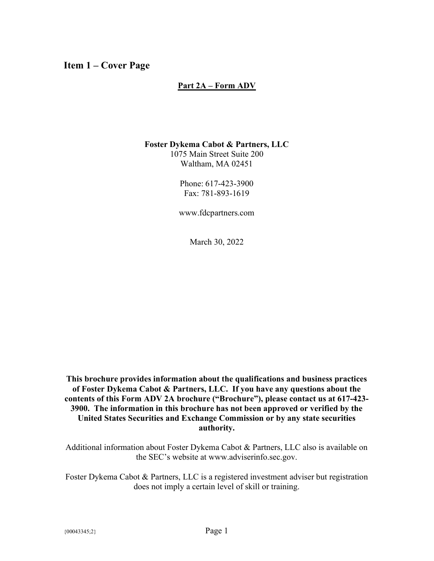## Item 1 – Cover Page

#### Part 2A – Form ADV

#### Foster Dykema Cabot & Partners, LLC

1075 Main Street Suite 200 Waltham, MA 02451

Phone: 617-423-3900 Fax: 781-893-1619

www.fdcpartners.com

March 30, 2022

This brochure provides information about the qualifications and business practices of Foster Dykema Cabot & Partners, LLC. If you have any questions about the contents of this Form ADV 2A brochure ("Brochure"), please contact us at 617-423- 3900. The information in this brochure has not been approved or verified by the United States Securities and Exchange Commission or by any state securities authority.

Additional information about Foster Dykema Cabot & Partners, LLC also is available on the SEC's website at www.adviserinfo.sec.gov.

Foster Dykema Cabot & Partners, LLC is a registered investment adviser but registration does not imply a certain level of skill or training.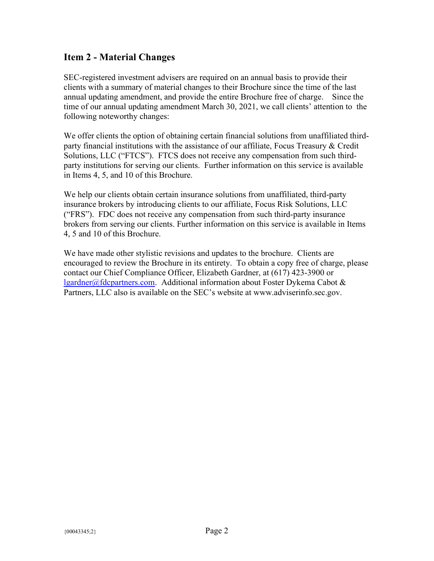## Item 2 - Material Changes

SEC-registered investment advisers are required on an annual basis to provide their clients with a summary of material changes to their Brochure since the time of the last annual updating amendment, and provide the entire Brochure free of charge. Since the time of our annual updating amendment March 30, 2021, we call clients' attention to the following noteworthy changes:

We offer clients the option of obtaining certain financial solutions from unaffiliated thirdparty financial institutions with the assistance of our affiliate, Focus Treasury & Credit Solutions, LLC ("FTCS"). FTCS does not receive any compensation from such thirdparty institutions for serving our clients. Further information on this service is available in Items 4, 5, and 10 of this Brochure.

We help our clients obtain certain insurance solutions from unaffiliated, third-party insurance brokers by introducing clients to our affiliate, Focus Risk Solutions, LLC ("FRS"). FDC does not receive any compensation from such third-party insurance brokers from serving our clients. Further information on this service is available in Items 4, 5 and 10 of this Brochure.

We have made other stylistic revisions and updates to the brochure. Clients are encouraged to review the Brochure in its entirety. To obtain a copy free of charge, please contact our Chief Compliance Officer, Elizabeth Gardner, at (617) 423-3900 or lgardner@fdcpartners.com. Additional information about Foster Dykema Cabot & Partners, LLC also is available on the SEC's website at www.adviserinfo.sec.gov.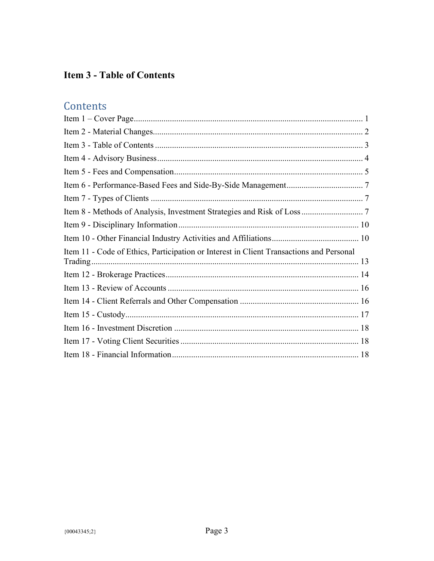# **Item 3 - Table of Contents**

# Contents

| Item 11 - Code of Ethics, Participation or Interest in Client Transactions and Personal |
|-----------------------------------------------------------------------------------------|
|                                                                                         |
|                                                                                         |
|                                                                                         |
|                                                                                         |
|                                                                                         |
|                                                                                         |
|                                                                                         |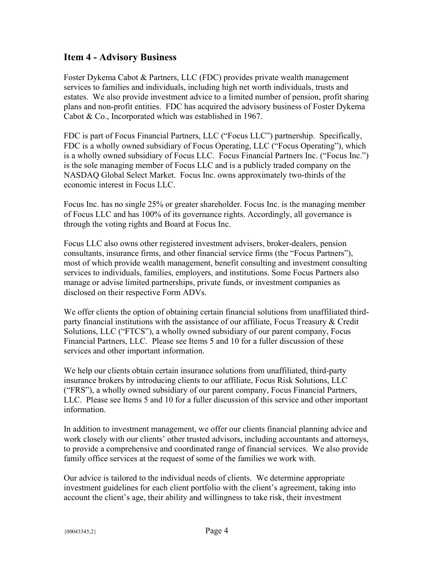## Item 4 - Advisory Business

Foster Dykema Cabot & Partners, LLC (FDC) provides private wealth management services to families and individuals, including high net worth individuals, trusts and estates. We also provide investment advice to a limited number of pension, profit sharing plans and non-profit entities. FDC has acquired the advisory business of Foster Dykema Cabot & Co., Incorporated which was established in 1967.

FDC is part of Focus Financial Partners, LLC ("Focus LLC") partnership. Specifically, FDC is a wholly owned subsidiary of Focus Operating, LLC ("Focus Operating"), which is a wholly owned subsidiary of Focus LLC. Focus Financial Partners Inc. ("Focus Inc.") is the sole managing member of Focus LLC and is a publicly traded company on the NASDAQ Global Select Market. Focus Inc. owns approximately two-thirds of the economic interest in Focus LLC.

Focus Inc. has no single 25% or greater shareholder. Focus Inc. is the managing member of Focus LLC and has 100% of its governance rights. Accordingly, all governance is through the voting rights and Board at Focus Inc.

Focus LLC also owns other registered investment advisers, broker-dealers, pension consultants, insurance firms, and other financial service firms (the "Focus Partners"), most of which provide wealth management, benefit consulting and investment consulting services to individuals, families, employers, and institutions. Some Focus Partners also manage or advise limited partnerships, private funds, or investment companies as disclosed on their respective Form ADVs.

We offer clients the option of obtaining certain financial solutions from unaffiliated thirdparty financial institutions with the assistance of our affiliate, Focus Treasury & Credit Solutions, LLC ("FTCS"), a wholly owned subsidiary of our parent company, Focus Financial Partners, LLC. Please see Items 5 and 10 for a fuller discussion of these services and other important information.

We help our clients obtain certain insurance solutions from unaffiliated, third-party insurance brokers by introducing clients to our affiliate, Focus Risk Solutions, LLC ("FRS"), a wholly owned subsidiary of our parent company, Focus Financial Partners, LLC. Please see Items 5 and 10 for a fuller discussion of this service and other important information.

In addition to investment management, we offer our clients financial planning advice and work closely with our clients' other trusted advisors, including accountants and attorneys, to provide a comprehensive and coordinated range of financial services. We also provide family office services at the request of some of the families we work with.

Our advice is tailored to the individual needs of clients. We determine appropriate investment guidelines for each client portfolio with the client's agreement, taking into account the client's age, their ability and willingness to take risk, their investment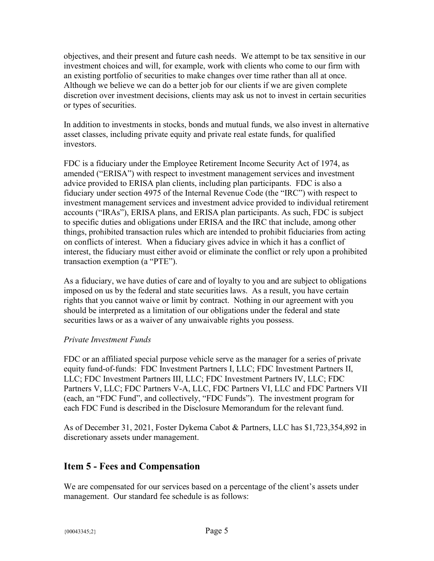objectives, and their present and future cash needs. We attempt to be tax sensitive in our investment choices and will, for example, work with clients who come to our firm with an existing portfolio of securities to make changes over time rather than all at once. Although we believe we can do a better job for our clients if we are given complete discretion over investment decisions, clients may ask us not to invest in certain securities or types of securities.

In addition to investments in stocks, bonds and mutual funds, we also invest in alternative asset classes, including private equity and private real estate funds, for qualified investors.

FDC is a fiduciary under the Employee Retirement Income Security Act of 1974, as amended ("ERISA") with respect to investment management services and investment advice provided to ERISA plan clients, including plan participants. FDC is also a fiduciary under section 4975 of the Internal Revenue Code (the "IRC") with respect to investment management services and investment advice provided to individual retirement accounts ("IRAs"), ERISA plans, and ERISA plan participants. As such, FDC is subject to specific duties and obligations under ERISA and the IRC that include, among other things, prohibited transaction rules which are intended to prohibit fiduciaries from acting on conflicts of interest. When a fiduciary gives advice in which it has a conflict of interest, the fiduciary must either avoid or eliminate the conflict or rely upon a prohibited transaction exemption (a "PTE").

As a fiduciary, we have duties of care and of loyalty to you and are subject to obligations imposed on us by the federal and state securities laws. As a result, you have certain rights that you cannot waive or limit by contract. Nothing in our agreement with you should be interpreted as a limitation of our obligations under the federal and state securities laws or as a waiver of any unwaivable rights you possess.

#### Private Investment Funds

FDC or an affiliated special purpose vehicle serve as the manager for a series of private equity fund-of-funds: FDC Investment Partners I, LLC; FDC Investment Partners II, LLC; FDC Investment Partners III, LLC; FDC Investment Partners IV, LLC; FDC Partners V, LLC; FDC Partners V-A, LLC, FDC Partners VI, LLC and FDC Partners VII (each, an "FDC Fund", and collectively, "FDC Funds"). The investment program for each FDC Fund is described in the Disclosure Memorandum for the relevant fund.

As of December 31, 2021, Foster Dykema Cabot & Partners, LLC has \$1,723,354,892 in discretionary assets under management.

## Item 5 - Fees and Compensation

We are compensated for our services based on a percentage of the client's assets under management. Our standard fee schedule is as follows: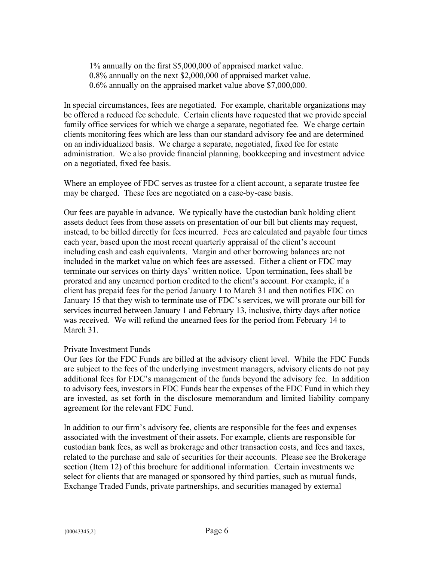1% annually on the first \$5,000,000 of appraised market value. 0.8% annually on the next \$2,000,000 of appraised market value. 0.6% annually on the appraised market value above \$7,000,000.

In special circumstances, fees are negotiated. For example, charitable organizations may be offered a reduced fee schedule. Certain clients have requested that we provide special family office services for which we charge a separate, negotiated fee. We charge certain clients monitoring fees which are less than our standard advisory fee and are determined on an individualized basis. We charge a separate, negotiated, fixed fee for estate administration. We also provide financial planning, bookkeeping and investment advice on a negotiated, fixed fee basis.

Where an employee of FDC serves as trustee for a client account, a separate trustee fee may be charged. These fees are negotiated on a case-by-case basis.

Our fees are payable in advance. We typically have the custodian bank holding client assets deduct fees from those assets on presentation of our bill but clients may request, instead, to be billed directly for fees incurred. Fees are calculated and payable four times each year, based upon the most recent quarterly appraisal of the client's account including cash and cash equivalents. Margin and other borrowing balances are not included in the market value on which fees are assessed. Either a client or FDC may terminate our services on thirty days' written notice. Upon termination, fees shall be prorated and any unearned portion credited to the client's account. For example, if a client has prepaid fees for the period January 1 to March 31 and then notifies FDC on January 15 that they wish to terminate use of FDC's services, we will prorate our bill for services incurred between January 1 and February 13, inclusive, thirty days after notice was received. We will refund the unearned fees for the period from February 14 to March 31.

#### Private Investment Funds

Our fees for the FDC Funds are billed at the advisory client level. While the FDC Funds are subject to the fees of the underlying investment managers, advisory clients do not pay additional fees for FDC's management of the funds beyond the advisory fee. In addition to advisory fees, investors in FDC Funds bear the expenses of the FDC Fund in which they are invested, as set forth in the disclosure memorandum and limited liability company agreement for the relevant FDC Fund.

In addition to our firm's advisory fee, clients are responsible for the fees and expenses associated with the investment of their assets. For example, clients are responsible for custodian bank fees, as well as brokerage and other transaction costs, and fees and taxes, related to the purchase and sale of securities for their accounts. Please see the Brokerage section (Item 12) of this brochure for additional information. Certain investments we select for clients that are managed or sponsored by third parties, such as mutual funds, Exchange Traded Funds, private partnerships, and securities managed by external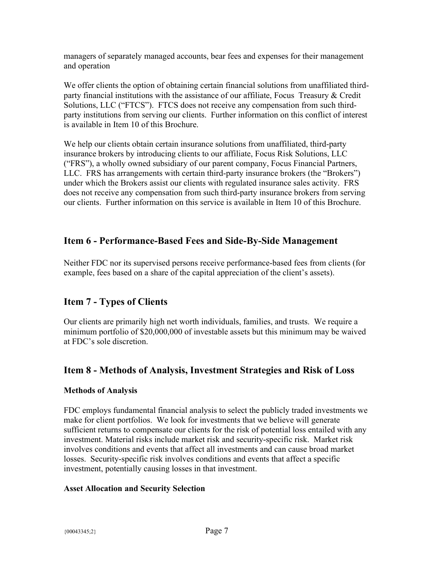managers of separately managed accounts, bear fees and expenses for their management and operation

We offer clients the option of obtaining certain financial solutions from unaffiliated thirdparty financial institutions with the assistance of our affiliate, Focus Treasury & Credit Solutions, LLC ("FTCS"). FTCS does not receive any compensation from such thirdparty institutions from serving our clients. Further information on this conflict of interest is available in Item 10 of this Brochure.

We help our clients obtain certain insurance solutions from unaffiliated, third-party insurance brokers by introducing clients to our affiliate, Focus Risk Solutions, LLC ("FRS"), a wholly owned subsidiary of our parent company, Focus Financial Partners, LLC. FRS has arrangements with certain third-party insurance brokers (the "Brokers") under which the Brokers assist our clients with regulated insurance sales activity. FRS does not receive any compensation from such third-party insurance brokers from serving our clients. Further information on this service is available in Item 10 of this Brochure.

## Item 6 - Performance-Based Fees and Side-By-Side Management

Neither FDC nor its supervised persons receive performance-based fees from clients (for example, fees based on a share of the capital appreciation of the client's assets).

## Item 7 - Types of Clients

Our clients are primarily high net worth individuals, families, and trusts. We require a minimum portfolio of \$20,000,000 of investable assets but this minimum may be waived at FDC's sole discretion.

## Item 8 - Methods of Analysis, Investment Strategies and Risk of Loss

### Methods of Analysis

FDC employs fundamental financial analysis to select the publicly traded investments we make for client portfolios. We look for investments that we believe will generate sufficient returns to compensate our clients for the risk of potential loss entailed with any investment. Material risks include market risk and security-specific risk. Market risk involves conditions and events that affect all investments and can cause broad market losses. Security-specific risk involves conditions and events that affect a specific investment, potentially causing losses in that investment.

### Asset Allocation and Security Selection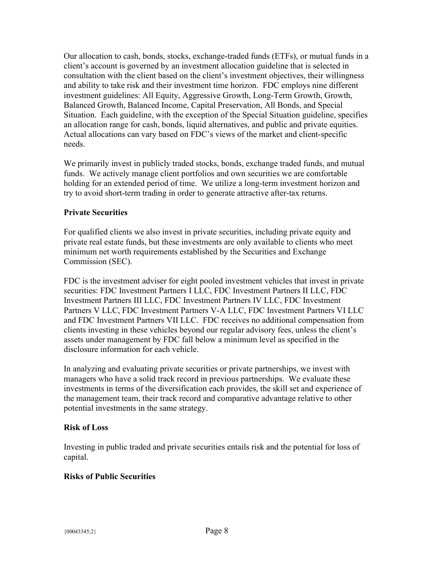Our allocation to cash, bonds, stocks, exchange-traded funds (ETFs), or mutual funds in a client's account is governed by an investment allocation guideline that is selected in consultation with the client based on the client's investment objectives, their willingness and ability to take risk and their investment time horizon. FDC employs nine different investment guidelines: All Equity, Aggressive Growth, Long-Term Growth, Growth, Balanced Growth, Balanced Income, Capital Preservation, All Bonds, and Special Situation. Each guideline, with the exception of the Special Situation guideline, specifies an allocation range for cash, bonds, liquid alternatives, and public and private equities. Actual allocations can vary based on FDC's views of the market and client-specific needs.

We primarily invest in publicly traded stocks, bonds, exchange traded funds, and mutual funds. We actively manage client portfolios and own securities we are comfortable holding for an extended period of time. We utilize a long-term investment horizon and try to avoid short-term trading in order to generate attractive after-tax returns.

#### Private Securities

For qualified clients we also invest in private securities, including private equity and private real estate funds, but these investments are only available to clients who meet minimum net worth requirements established by the Securities and Exchange Commission (SEC).

FDC is the investment adviser for eight pooled investment vehicles that invest in private securities: FDC Investment Partners I LLC, FDC Investment Partners II LLC, FDC Investment Partners III LLC, FDC Investment Partners IV LLC, FDC Investment Partners V LLC, FDC Investment Partners V-A LLC, FDC Investment Partners VI LLC and FDC Investment Partners VII LLC. FDC receives no additional compensation from clients investing in these vehicles beyond our regular advisory fees, unless the client's assets under management by FDC fall below a minimum level as specified in the disclosure information for each vehicle.

In analyzing and evaluating private securities or private partnerships, we invest with managers who have a solid track record in previous partnerships. We evaluate these investments in terms of the diversification each provides, the skill set and experience of the management team, their track record and comparative advantage relative to other potential investments in the same strategy.

#### Risk of Loss

Investing in public traded and private securities entails risk and the potential for loss of capital.

### Risks of Public Securities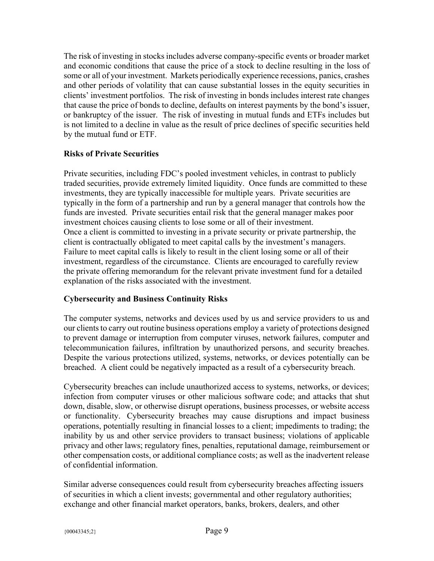The risk of investing in stocks includes adverse company-specific events or broader market and economic conditions that cause the price of a stock to decline resulting in the loss of some or all of your investment. Markets periodically experience recessions, panics, crashes and other periods of volatility that can cause substantial losses in the equity securities in clients' investment portfolios. The risk of investing in bonds includes interest rate changes that cause the price of bonds to decline, defaults on interest payments by the bond's issuer, or bankruptcy of the issuer. The risk of investing in mutual funds and ETFs includes but is not limited to a decline in value as the result of price declines of specific securities held by the mutual fund or ETF.

#### Risks of Private Securities

Private securities, including FDC's pooled investment vehicles, in contrast to publicly traded securities, provide extremely limited liquidity. Once funds are committed to these investments, they are typically inaccessible for multiple years. Private securities are typically in the form of a partnership and run by a general manager that controls how the funds are invested. Private securities entail risk that the general manager makes poor investment choices causing clients to lose some or all of their investment. Once a client is committed to investing in a private security or private partnership, the client is contractually obligated to meet capital calls by the investment's managers. Failure to meet capital calls is likely to result in the client losing some or all of their investment, regardless of the circumstance. Clients are encouraged to carefully review the private offering memorandum for the relevant private investment fund for a detailed explanation of the risks associated with the investment.

### Cybersecurity and Business Continuity Risks

The computer systems, networks and devices used by us and service providers to us and our clients to carry out routine business operations employ a variety of protections designed to prevent damage or interruption from computer viruses, network failures, computer and telecommunication failures, infiltration by unauthorized persons, and security breaches. Despite the various protections utilized, systems, networks, or devices potentially can be breached. A client could be negatively impacted as a result of a cybersecurity breach.

Cybersecurity breaches can include unauthorized access to systems, networks, or devices; infection from computer viruses or other malicious software code; and attacks that shut down, disable, slow, or otherwise disrupt operations, business processes, or website access or functionality. Cybersecurity breaches may cause disruptions and impact business operations, potentially resulting in financial losses to a client; impediments to trading; the inability by us and other service providers to transact business; violations of applicable privacy and other laws; regulatory fines, penalties, reputational damage, reimbursement or other compensation costs, or additional compliance costs; as well as the inadvertent release of confidential information.

Similar adverse consequences could result from cybersecurity breaches affecting issuers of securities in which a client invests; governmental and other regulatory authorities; exchange and other financial market operators, banks, brokers, dealers, and other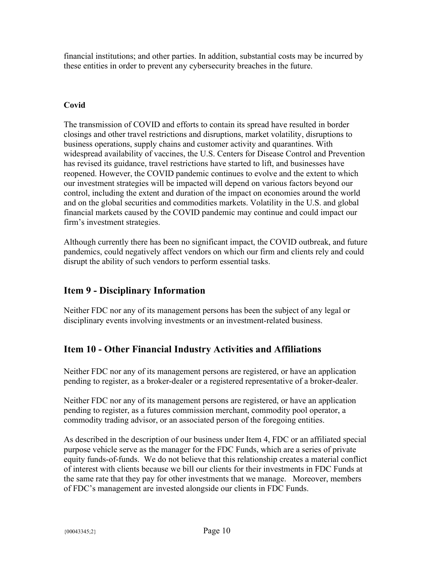financial institutions; and other parties. In addition, substantial costs may be incurred by these entities in order to prevent any cybersecurity breaches in the future.

### **Covid**

The transmission of COVID and efforts to contain its spread have resulted in border closings and other travel restrictions and disruptions, market volatility, disruptions to business operations, supply chains and customer activity and quarantines. With widespread availability of vaccines, the U.S. Centers for Disease Control and Prevention has revised its guidance, travel restrictions have started to lift, and businesses have reopened. However, the COVID pandemic continues to evolve and the extent to which our investment strategies will be impacted will depend on various factors beyond our control, including the extent and duration of the impact on economies around the world and on the global securities and commodities markets. Volatility in the U.S. and global financial markets caused by the COVID pandemic may continue and could impact our firm's investment strategies.

Although currently there has been no significant impact, the COVID outbreak, and future pandemics, could negatively affect vendors on which our firm and clients rely and could disrupt the ability of such vendors to perform essential tasks.

## Item 9 - Disciplinary Information

Neither FDC nor any of its management persons has been the subject of any legal or disciplinary events involving investments or an investment-related business.

## Item 10 - Other Financial Industry Activities and Affiliations

Neither FDC nor any of its management persons are registered, or have an application pending to register, as a broker-dealer or a registered representative of a broker-dealer.

Neither FDC nor any of its management persons are registered, or have an application pending to register, as a futures commission merchant, commodity pool operator, a commodity trading advisor, or an associated person of the foregoing entities.

As described in the description of our business under Item 4, FDC or an affiliated special purpose vehicle serve as the manager for the FDC Funds, which are a series of private equity funds-of-funds. We do not believe that this relationship creates a material conflict of interest with clients because we bill our clients for their investments in FDC Funds at the same rate that they pay for other investments that we manage. Moreover, members of FDC's management are invested alongside our clients in FDC Funds.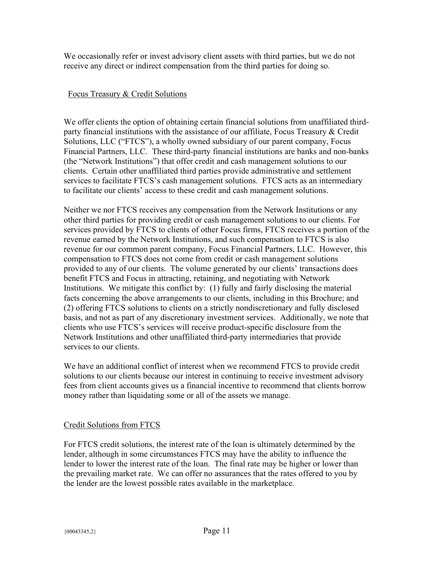We occasionally refer or invest advisory client assets with third parties, but we do not receive any direct or indirect compensation from the third parties for doing so.

#### Focus Treasury & Credit Solutions

We offer clients the option of obtaining certain financial solutions from unaffiliated thirdparty financial institutions with the assistance of our affiliate, Focus Treasury & Credit Solutions, LLC ("FTCS"), a wholly owned subsidiary of our parent company, Focus Financial Partners, LLC. These third-party financial institutions are banks and non-banks (the "Network Institutions") that offer credit and cash management solutions to our clients. Certain other unaffiliated third parties provide administrative and settlement services to facilitate FTCS's cash management solutions. FTCS acts as an intermediary to facilitate our clients' access to these credit and cash management solutions.

Neither we nor FTCS receives any compensation from the Network Institutions or any other third parties for providing credit or cash management solutions to our clients. For services provided by FTCS to clients of other Focus firms, FTCS receives a portion of the revenue earned by the Network Institutions, and such compensation to FTCS is also revenue for our common parent company, Focus Financial Partners, LLC. However, this compensation to FTCS does not come from credit or cash management solutions provided to any of our clients. The volume generated by our clients' transactions does benefit FTCS and Focus in attracting, retaining, and negotiating with Network Institutions. We mitigate this conflict by: (1) fully and fairly disclosing the material facts concerning the above arrangements to our clients, including in this Brochure; and (2) offering FTCS solutions to clients on a strictly nondiscretionary and fully disclosed basis, and not as part of any discretionary investment services. Additionally, we note that clients who use FTCS's services will receive product-specific disclosure from the Network Institutions and other unaffiliated third-party intermediaries that provide services to our clients.

We have an additional conflict of interest when we recommend FTCS to provide credit solutions to our clients because our interest in continuing to receive investment advisory fees from client accounts gives us a financial incentive to recommend that clients borrow money rather than liquidating some or all of the assets we manage.

### Credit Solutions from FTCS

For FTCS credit solutions, the interest rate of the loan is ultimately determined by the lender, although in some circumstances FTCS may have the ability to influence the lender to lower the interest rate of the loan. The final rate may be higher or lower than the prevailing market rate. We can offer no assurances that the rates offered to you by the lender are the lowest possible rates available in the marketplace.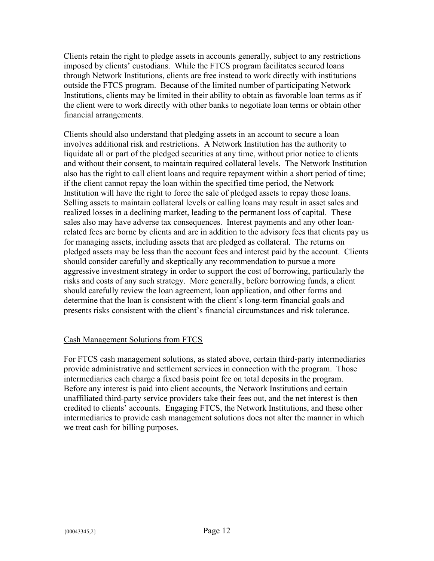Clients retain the right to pledge assets in accounts generally, subject to any restrictions imposed by clients' custodians. While the FTCS program facilitates secured loans through Network Institutions, clients are free instead to work directly with institutions outside the FTCS program. Because of the limited number of participating Network Institutions, clients may be limited in their ability to obtain as favorable loan terms as if the client were to work directly with other banks to negotiate loan terms or obtain other financial arrangements.

Clients should also understand that pledging assets in an account to secure a loan involves additional risk and restrictions. A Network Institution has the authority to liquidate all or part of the pledged securities at any time, without prior notice to clients and without their consent, to maintain required collateral levels. The Network Institution also has the right to call client loans and require repayment within a short period of time; if the client cannot repay the loan within the specified time period, the Network Institution will have the right to force the sale of pledged assets to repay those loans. Selling assets to maintain collateral levels or calling loans may result in asset sales and realized losses in a declining market, leading to the permanent loss of capital. These sales also may have adverse tax consequences. Interest payments and any other loanrelated fees are borne by clients and are in addition to the advisory fees that clients pay us for managing assets, including assets that are pledged as collateral. The returns on pledged assets may be less than the account fees and interest paid by the account. Clients should consider carefully and skeptically any recommendation to pursue a more aggressive investment strategy in order to support the cost of borrowing, particularly the risks and costs of any such strategy. More generally, before borrowing funds, a client should carefully review the loan agreement, loan application, and other forms and determine that the loan is consistent with the client's long-term financial goals and presents risks consistent with the client's financial circumstances and risk tolerance.

#### Cash Management Solutions from FTCS

For FTCS cash management solutions, as stated above, certain third-party intermediaries provide administrative and settlement services in connection with the program. Those intermediaries each charge a fixed basis point fee on total deposits in the program. Before any interest is paid into client accounts, the Network Institutions and certain unaffiliated third-party service providers take their fees out, and the net interest is then credited to clients' accounts. Engaging FTCS, the Network Institutions, and these other intermediaries to provide cash management solutions does not alter the manner in which we treat cash for billing purposes.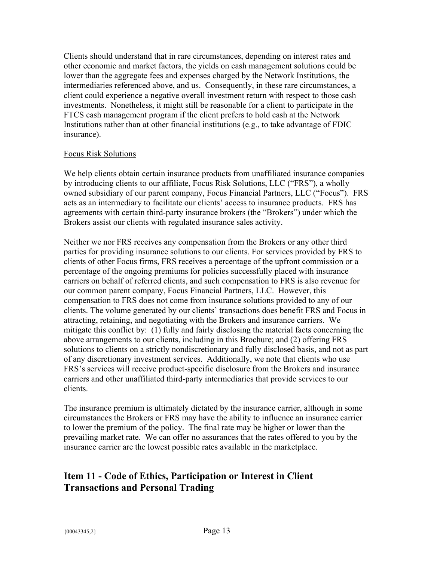Clients should understand that in rare circumstances, depending on interest rates and other economic and market factors, the yields on cash management solutions could be lower than the aggregate fees and expenses charged by the Network Institutions, the intermediaries referenced above, and us. Consequently, in these rare circumstances, a client could experience a negative overall investment return with respect to those cash investments. Nonetheless, it might still be reasonable for a client to participate in the FTCS cash management program if the client prefers to hold cash at the Network Institutions rather than at other financial institutions (e.g., to take advantage of FDIC insurance).

#### Focus Risk Solutions

We help clients obtain certain insurance products from unaffiliated insurance companies by introducing clients to our affiliate, Focus Risk Solutions, LLC ("FRS"), a wholly owned subsidiary of our parent company, Focus Financial Partners, LLC ("Focus"). FRS acts as an intermediary to facilitate our clients' access to insurance products. FRS has agreements with certain third-party insurance brokers (the "Brokers") under which the Brokers assist our clients with regulated insurance sales activity.

Neither we nor FRS receives any compensation from the Brokers or any other third parties for providing insurance solutions to our clients. For services provided by FRS to clients of other Focus firms, FRS receives a percentage of the upfront commission or a percentage of the ongoing premiums for policies successfully placed with insurance carriers on behalf of referred clients, and such compensation to FRS is also revenue for our common parent company, Focus Financial Partners, LLC. However, this compensation to FRS does not come from insurance solutions provided to any of our clients. The volume generated by our clients' transactions does benefit FRS and Focus in attracting, retaining, and negotiating with the Brokers and insurance carriers. We mitigate this conflict by: (1) fully and fairly disclosing the material facts concerning the above arrangements to our clients, including in this Brochure; and (2) offering FRS solutions to clients on a strictly nondiscretionary and fully disclosed basis, and not as part of any discretionary investment services. Additionally, we note that clients who use FRS's services will receive product-specific disclosure from the Brokers and insurance carriers and other unaffiliated third-party intermediaries that provide services to our clients.

The insurance premium is ultimately dictated by the insurance carrier, although in some circumstances the Brokers or FRS may have the ability to influence an insurance carrier to lower the premium of the policy. The final rate may be higher or lower than the prevailing market rate. We can offer no assurances that the rates offered to you by the insurance carrier are the lowest possible rates available in the marketplace.

## Item 11 - Code of Ethics, Participation or Interest in Client Transactions and Personal Trading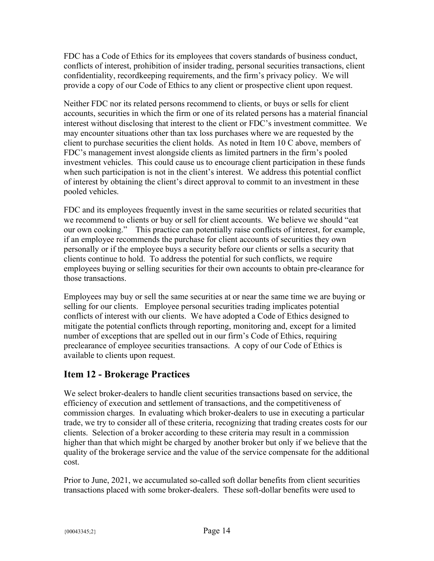FDC has a Code of Ethics for its employees that covers standards of business conduct, conflicts of interest, prohibition of insider trading, personal securities transactions, client confidentiality, recordkeeping requirements, and the firm's privacy policy. We will provide a copy of our Code of Ethics to any client or prospective client upon request.

Neither FDC nor its related persons recommend to clients, or buys or sells for client accounts, securities in which the firm or one of its related persons has a material financial interest without disclosing that interest to the client or FDC's investment committee. We may encounter situations other than tax loss purchases where we are requested by the client to purchase securities the client holds. As noted in Item 10 C above, members of FDC's management invest alongside clients as limited partners in the firm's pooled investment vehicles. This could cause us to encourage client participation in these funds when such participation is not in the client's interest. We address this potential conflict of interest by obtaining the client's direct approval to commit to an investment in these pooled vehicles.

FDC and its employees frequently invest in the same securities or related securities that we recommend to clients or buy or sell for client accounts. We believe we should "eat our own cooking." This practice can potentially raise conflicts of interest, for example, if an employee recommends the purchase for client accounts of securities they own personally or if the employee buys a security before our clients or sells a security that clients continue to hold. To address the potential for such conflicts, we require employees buying or selling securities for their own accounts to obtain pre-clearance for those transactions.

Employees may buy or sell the same securities at or near the same time we are buying or selling for our clients. Employee personal securities trading implicates potential conflicts of interest with our clients. We have adopted a Code of Ethics designed to mitigate the potential conflicts through reporting, monitoring and, except for a limited number of exceptions that are spelled out in our firm's Code of Ethics, requiring preclearance of employee securities transactions. A copy of our Code of Ethics is available to clients upon request.

## Item 12 - Brokerage Practices

We select broker-dealers to handle client securities transactions based on service, the efficiency of execution and settlement of transactions, and the competitiveness of commission charges. In evaluating which broker-dealers to use in executing a particular trade, we try to consider all of these criteria, recognizing that trading creates costs for our clients. Selection of a broker according to these criteria may result in a commission higher than that which might be charged by another broker but only if we believe that the quality of the brokerage service and the value of the service compensate for the additional cost.

Prior to June, 2021, we accumulated so-called soft dollar benefits from client securities transactions placed with some broker-dealers. These soft-dollar benefits were used to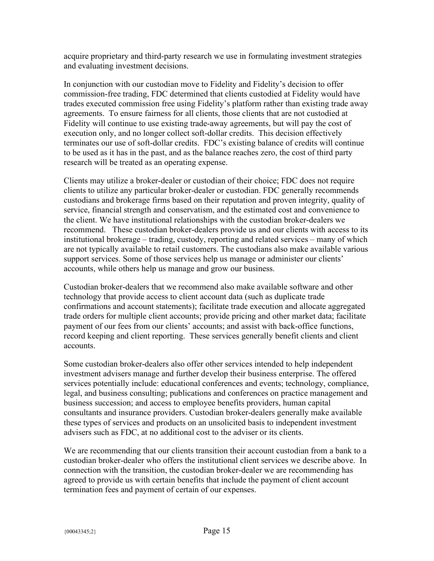acquire proprietary and third-party research we use in formulating investment strategies and evaluating investment decisions.

In conjunction with our custodian move to Fidelity and Fidelity's decision to offer commission-free trading, FDC determined that clients custodied at Fidelity would have trades executed commission free using Fidelity's platform rather than existing trade away agreements. To ensure fairness for all clients, those clients that are not custodied at Fidelity will continue to use existing trade-away agreements, but will pay the cost of execution only, and no longer collect soft-dollar credits. This decision effectively terminates our use of soft-dollar credits. FDC's existing balance of credits will continue to be used as it has in the past, and as the balance reaches zero, the cost of third party research will be treated as an operating expense.

Clients may utilize a broker-dealer or custodian of their choice; FDC does not require clients to utilize any particular broker-dealer or custodian. FDC generally recommends custodians and brokerage firms based on their reputation and proven integrity, quality of service, financial strength and conservatism, and the estimated cost and convenience to the client. We have institutional relationships with the custodian broker-dealers we recommend. These custodian broker-dealers provide us and our clients with access to its institutional brokerage – trading, custody, reporting and related services – many of which are not typically available to retail customers. The custodians also make available various support services. Some of those services help us manage or administer our clients' accounts, while others help us manage and grow our business.

Custodian broker-dealers that we recommend also make available software and other technology that provide access to client account data (such as duplicate trade confirmations and account statements); facilitate trade execution and allocate aggregated trade orders for multiple client accounts; provide pricing and other market data; facilitate payment of our fees from our clients' accounts; and assist with back-office functions, record keeping and client reporting. These services generally benefit clients and client accounts.

Some custodian broker-dealers also offer other services intended to help independent investment advisers manage and further develop their business enterprise. The offered services potentially include: educational conferences and events; technology, compliance, legal, and business consulting; publications and conferences on practice management and business succession; and access to employee benefits providers, human capital consultants and insurance providers. Custodian broker-dealers generally make available these types of services and products on an unsolicited basis to independent investment advisers such as FDC, at no additional cost to the adviser or its clients.

We are recommending that our clients transition their account custodian from a bank to a custodian broker-dealer who offers the institutional client services we describe above. In connection with the transition, the custodian broker-dealer we are recommending has agreed to provide us with certain benefits that include the payment of client account termination fees and payment of certain of our expenses.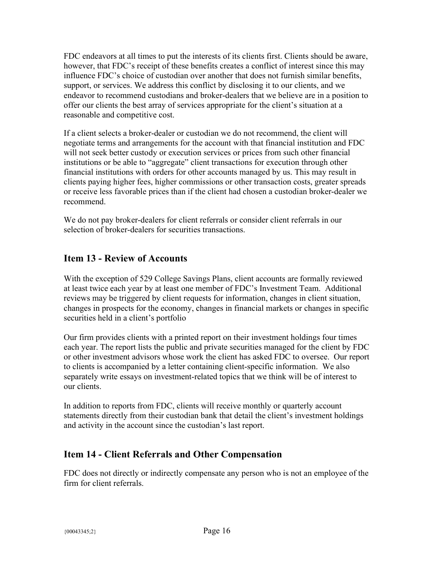FDC endeavors at all times to put the interests of its clients first. Clients should be aware, however, that FDC's receipt of these benefits creates a conflict of interest since this may influence FDC's choice of custodian over another that does not furnish similar benefits, support, or services. We address this conflict by disclosing it to our clients, and we endeavor to recommend custodians and broker-dealers that we believe are in a position to offer our clients the best array of services appropriate for the client's situation at a reasonable and competitive cost.

If a client selects a broker-dealer or custodian we do not recommend, the client will negotiate terms and arrangements for the account with that financial institution and FDC will not seek better custody or execution services or prices from such other financial institutions or be able to "aggregate" client transactions for execution through other financial institutions with orders for other accounts managed by us. This may result in clients paying higher fees, higher commissions or other transaction costs, greater spreads or receive less favorable prices than if the client had chosen a custodian broker-dealer we recommend.

We do not pay broker-dealers for client referrals or consider client referrals in our selection of broker-dealers for securities transactions.

## Item 13 - Review of Accounts

With the exception of 529 College Savings Plans, client accounts are formally reviewed at least twice each year by at least one member of FDC's Investment Team. Additional reviews may be triggered by client requests for information, changes in client situation, changes in prospects for the economy, changes in financial markets or changes in specific securities held in a client's portfolio

Our firm provides clients with a printed report on their investment holdings four times each year. The report lists the public and private securities managed for the client by FDC or other investment advisors whose work the client has asked FDC to oversee. Our report to clients is accompanied by a letter containing client-specific information. We also separately write essays on investment-related topics that we think will be of interest to our clients.

In addition to reports from FDC, clients will receive monthly or quarterly account statements directly from their custodian bank that detail the client's investment holdings and activity in the account since the custodian's last report.

## Item 14 - Client Referrals and Other Compensation

FDC does not directly or indirectly compensate any person who is not an employee of the firm for client referrals.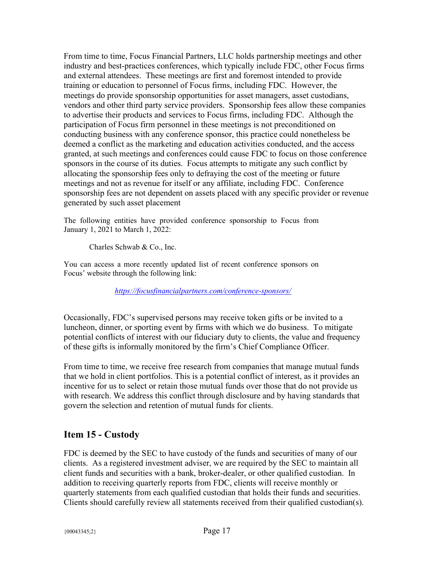From time to time, Focus Financial Partners, LLC holds partnership meetings and other industry and best-practices conferences, which typically include FDC, other Focus firms and external attendees. These meetings are first and foremost intended to provide training or education to personnel of Focus firms, including FDC. However, the meetings do provide sponsorship opportunities for asset managers, asset custodians, vendors and other third party service providers. Sponsorship fees allow these companies to advertise their products and services to Focus firms, including FDC. Although the participation of Focus firm personnel in these meetings is not preconditioned on conducting business with any conference sponsor, this practice could nonetheless be deemed a conflict as the marketing and education activities conducted, and the access granted, at such meetings and conferences could cause FDC to focus on those conference sponsors in the course of its duties. Focus attempts to mitigate any such conflict by allocating the sponsorship fees only to defraying the cost of the meeting or future meetings and not as revenue for itself or any affiliate, including FDC. Conference sponsorship fees are not dependent on assets placed with any specific provider or revenue generated by such asset placement

The following entities have provided conference sponsorship to Focus from January 1, 2021 to March 1, 2022:

Charles Schwab & Co., Inc.

You can access a more recently updated list of recent conference sponsors on Focus' website through the following link:

https://focusfinancialpartners.com/conference-sponsors/

Occasionally, FDC's supervised persons may receive token gifts or be invited to a luncheon, dinner, or sporting event by firms with which we do business. To mitigate potential conflicts of interest with our fiduciary duty to clients, the value and frequency of these gifts is informally monitored by the firm's Chief Compliance Officer.

From time to time, we receive free research from companies that manage mutual funds that we hold in client portfolios. This is a potential conflict of interest, as it provides an incentive for us to select or retain those mutual funds over those that do not provide us with research. We address this conflict through disclosure and by having standards that govern the selection and retention of mutual funds for clients.

## Item 15 - Custody

FDC is deemed by the SEC to have custody of the funds and securities of many of our clients. As a registered investment adviser, we are required by the SEC to maintain all client funds and securities with a bank, broker-dealer, or other qualified custodian. In addition to receiving quarterly reports from FDC, clients will receive monthly or quarterly statements from each qualified custodian that holds their funds and securities. Clients should carefully review all statements received from their qualified custodian(s).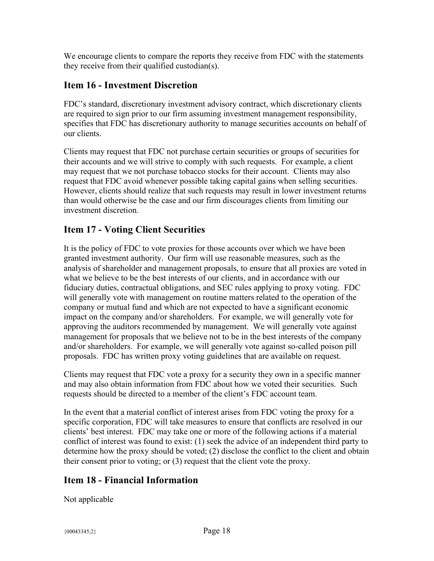We encourage clients to compare the reports they receive from FDC with the statements they receive from their qualified custodian(s).

## Item 16 - Investment Discretion

FDC's standard, discretionary investment advisory contract, which discretionary clients are required to sign prior to our firm assuming investment management responsibility, specifies that FDC has discretionary authority to manage securities accounts on behalf of our clients.

Clients may request that FDC not purchase certain securities or groups of securities for their accounts and we will strive to comply with such requests. For example, a client may request that we not purchase tobacco stocks for their account. Clients may also request that FDC avoid whenever possible taking capital gains when selling securities. However, clients should realize that such requests may result in lower investment returns than would otherwise be the case and our firm discourages clients from limiting our investment discretion.

## Item 17 - Voting Client Securities

It is the policy of FDC to vote proxies for those accounts over which we have been granted investment authority. Our firm will use reasonable measures, such as the analysis of shareholder and management proposals, to ensure that all proxies are voted in what we believe to be the best interests of our clients, and in accordance with our fiduciary duties, contractual obligations, and SEC rules applying to proxy voting. FDC will generally vote with management on routine matters related to the operation of the company or mutual fund and which are not expected to have a significant economic impact on the company and/or shareholders. For example, we will generally vote for approving the auditors recommended by management. We will generally vote against management for proposals that we believe not to be in the best interests of the company and/or shareholders. For example, we will generally vote against so-called poison pill proposals. FDC has written proxy voting guidelines that are available on request.

Clients may request that FDC vote a proxy for a security they own in a specific manner and may also obtain information from FDC about how we voted their securities. Such requests should be directed to a member of the client's FDC account team.

In the event that a material conflict of interest arises from FDC voting the proxy for a specific corporation, FDC will take measures to ensure that conflicts are resolved in our clients' best interest. FDC may take one or more of the following actions if a material conflict of interest was found to exist: (1) seek the advice of an independent third party to determine how the proxy should be voted; (2) disclose the conflict to the client and obtain their consent prior to voting; or (3) request that the client vote the proxy.

## Item 18 - Financial Information

Not applicable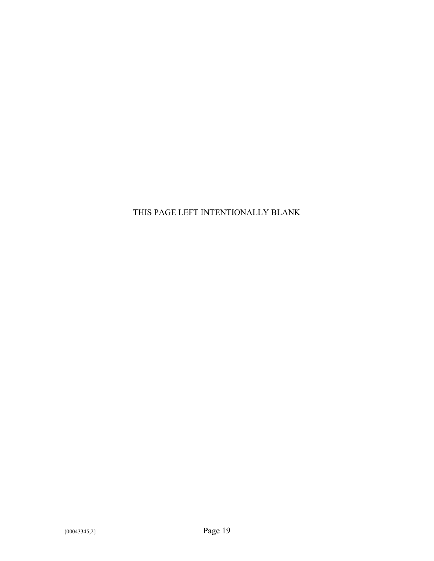## THIS PAGE LEFT INTENTIONALLY BLANK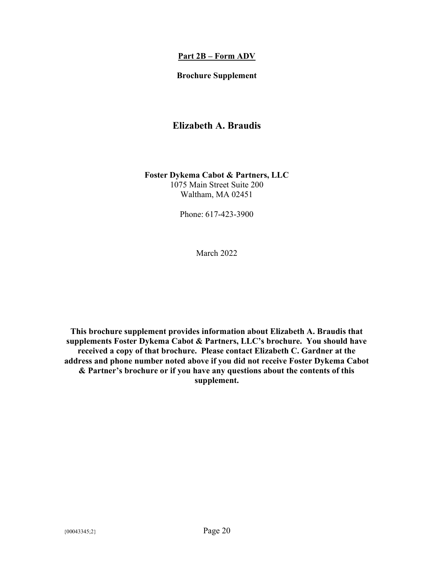#### Brochure Supplement

## Elizabeth A. Braudis

Foster Dykema Cabot & Partners, LLC 1075 Main Street Suite 200 Waltham, MA 02451

Phone: 617-423-3900

March 2022

This brochure supplement provides information about Elizabeth A. Braudis that supplements Foster Dykema Cabot & Partners, LLC's brochure. You should have received a copy of that brochure. Please contact Elizabeth C. Gardner at the address and phone number noted above if you did not receive Foster Dykema Cabot & Partner's brochure or if you have any questions about the contents of this supplement.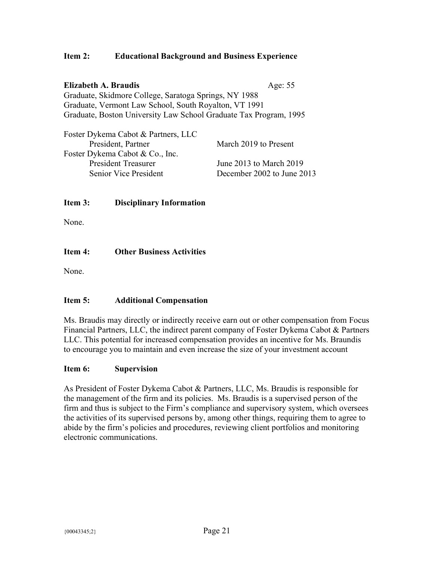### Elizabeth A. Braudis Age: 55 Graduate, Skidmore College, Saratoga Springs, NY 1988 Graduate, Vermont Law School, South Royalton, VT 1991 Graduate, Boston University Law School Graduate Tax Program, 1995

| Foster Dykema Cabot & Partners, LLC |                            |
|-------------------------------------|----------------------------|
| President, Partner                  | March 2019 to Present      |
| Foster Dykema Cabot & Co., Inc.     |                            |
| <b>President Treasurer</b>          | June 2013 to March 2019    |
| Senior Vice President               | December 2002 to June 2013 |
|                                     |                            |

#### Item 3: Disciplinary Information

None.

#### Item 4: Other Business Activities

None.

#### Item 5: Additional Compensation

Ms. Braudis may directly or indirectly receive earn out or other compensation from Focus Financial Partners, LLC, the indirect parent company of Foster Dykema Cabot & Partners LLC. This potential for increased compensation provides an incentive for Ms. Braundis to encourage you to maintain and even increase the size of your investment account

#### Item 6: Supervision

As President of Foster Dykema Cabot & Partners, LLC, Ms. Braudis is responsible for the management of the firm and its policies. Ms. Braudis is a supervised person of the firm and thus is subject to the Firm's compliance and supervisory system, which oversees the activities of its supervised persons by, among other things, requiring them to agree to abide by the firm's policies and procedures, reviewing client portfolios and monitoring electronic communications.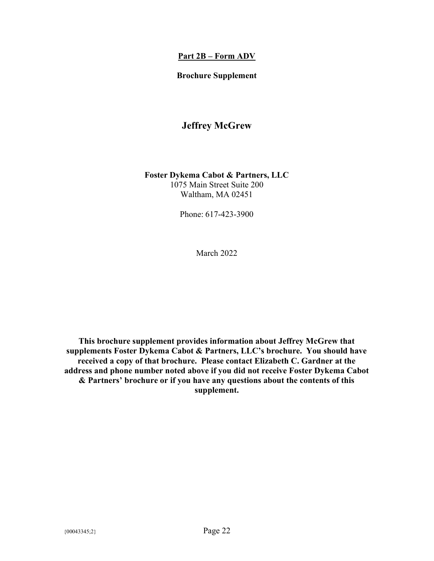Brochure Supplement

## Jeffrey McGrew

Foster Dykema Cabot & Partners, LLC 1075 Main Street Suite 200 Waltham, MA 02451

Phone: 617-423-3900

March 2022

This brochure supplement provides information about Jeffrey McGrew that supplements Foster Dykema Cabot & Partners, LLC's brochure. You should have received a copy of that brochure. Please contact Elizabeth C. Gardner at the address and phone number noted above if you did not receive Foster Dykema Cabot & Partners' brochure or if you have any questions about the contents of this supplement.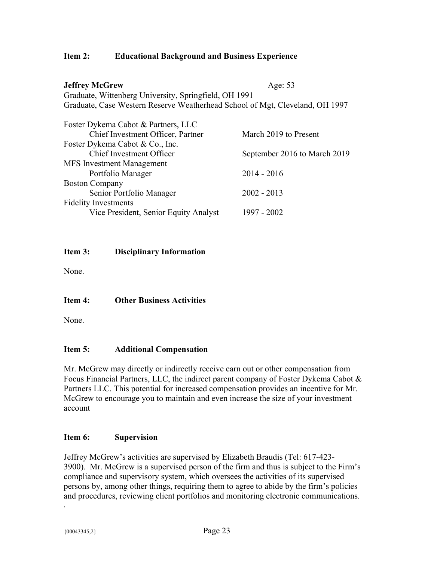Jeffrey McGrew Age: 53 Graduate, Wittenberg University, Springfield, OH 1991 Graduate, Case Western Reserve Weatherhead School of Mgt, Cleveland, OH 1997

| Foster Dykema Cabot & Partners, LLC   |                              |
|---------------------------------------|------------------------------|
| Chief Investment Officer, Partner     | March 2019 to Present        |
| Foster Dykema Cabot & Co., Inc.       |                              |
| <b>Chief Investment Officer</b>       | September 2016 to March 2019 |
| MFS Investment Management             |                              |
| Portfolio Manager                     | $2014 - 2016$                |
| <b>Boston Company</b>                 |                              |
| Senior Portfolio Manager              | $2002 - 2013$                |
| <b>Fidelity Investments</b>           |                              |
| Vice President, Senior Equity Analyst | 1997 - 2002                  |
|                                       |                              |

#### Item 3: Disciplinary Information

None.

#### Item 4: Other Business Activities

None.

#### Item 5: Additional Compensation

Mr. McGrew may directly or indirectly receive earn out or other compensation from Focus Financial Partners, LLC, the indirect parent company of Foster Dykema Cabot & Partners LLC. This potential for increased compensation provides an incentive for Mr. McGrew to encourage you to maintain and even increase the size of your investment account

#### Item 6: Supervision

Jeffrey McGrew's activities are supervised by Elizabeth Braudis (Tel: 617-423- 3900). Mr. McGrew is a supervised person of the firm and thus is subject to the Firm's compliance and supervisory system, which oversees the activities of its supervised persons by, among other things, requiring them to agree to abide by the firm's policies and procedures, reviewing client portfolios and monitoring electronic communications.

.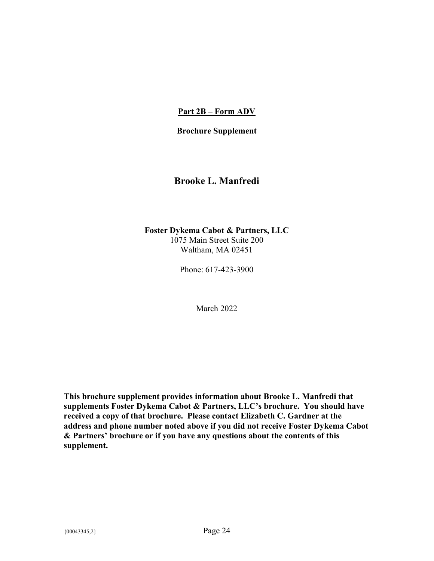#### Brochure Supplement

## Brooke L. Manfredi

#### Foster Dykema Cabot & Partners, LLC 1075 Main Street Suite 200 Waltham, MA 02451

Phone: 617-423-3900

March 2022

This brochure supplement provides information about Brooke L. Manfredi that supplements Foster Dykema Cabot & Partners, LLC's brochure. You should have received a copy of that brochure. Please contact Elizabeth C. Gardner at the address and phone number noted above if you did not receive Foster Dykema Cabot & Partners' brochure or if you have any questions about the contents of this supplement.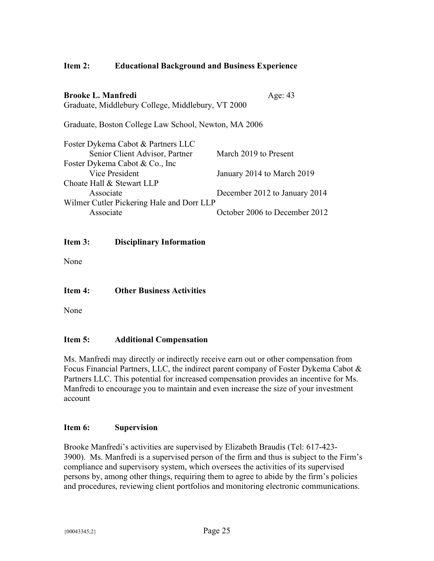| <b>Brooke L. Manfredi</b><br>Graduate, Middlebury College, Middlebury, VT 2000 | Age: 43                       |
|--------------------------------------------------------------------------------|-------------------------------|
| Graduate, Boston College Law School, Newton, MA 2006                           |                               |
| Foster Dykema Cabot & Partners LLC                                             |                               |
| Senior Client Advisor, Partner                                                 | March 2019 to Present         |
| Foster Dykema Cabot & Co., Inc.                                                |                               |
| Vice President                                                                 | January 2014 to March 2019    |
| Choate Hall & Stewart LLP                                                      |                               |
| Associate                                                                      | December 2012 to January 2014 |
| Wilmer Cutler Pickering Hale and Dorr LLP                                      |                               |
| Associate                                                                      | October 2006 to December 2012 |

#### Item 3: Disciplinary Information

None

Item 4: Other Business Activities

None

#### Item 5: Additional Compensation

Ms. Manfredi may directly or indirectly receive earn out or other compensation from Focus Financial Partners, LLC, the indirect parent company of Foster Dykema Cabot & Partners LLC. This potential for increased compensation provides an incentive for Ms. Manfredi to encourage you to maintain and even increase the size of your investment account

#### Item 6: Supervision

Brooke Manfredi's activities are supervised by Elizabeth Braudis (Tel: 617-423- 3900). Ms. Manfredi is a supervised person of the firm and thus is subject to the Firm's compliance and supervisory system, which oversees the activities of its supervised persons by, among other things, requiring them to agree to abide by the firm's policies and procedures, reviewing client portfolios and monitoring electronic communications.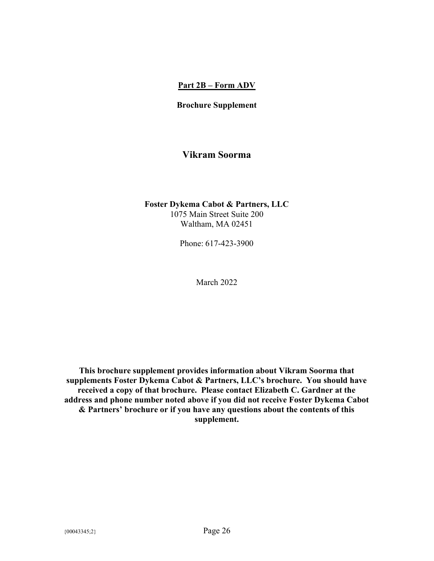#### Brochure Supplement

## Vikram Soorma

Foster Dykema Cabot & Partners, LLC 1075 Main Street Suite 200 Waltham, MA 02451

Phone: 617-423-3900

March 2022

This brochure supplement provides information about Vikram Soorma that supplements Foster Dykema Cabot & Partners, LLC's brochure. You should have received a copy of that brochure. Please contact Elizabeth C. Gardner at the address and phone number noted above if you did not receive Foster Dykema Cabot & Partners' brochure or if you have any questions about the contents of this supplement.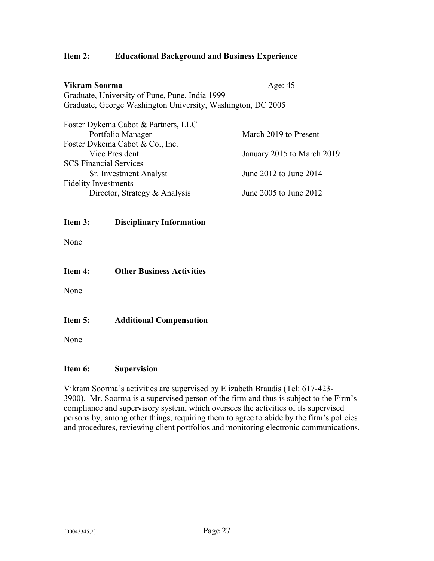| Vikram Soorma                                               | Age: 45 |
|-------------------------------------------------------------|---------|
| Graduate, University of Pune, Pune, India 1999              |         |
| Graduate, George Washington University, Washington, DC 2005 |         |
| Eoster Dykema Cabot & Partners $\prod C$                    |         |

| POSICI DYKCHIA CADOL & FAILIEIS, LLC |                            |
|--------------------------------------|----------------------------|
| Portfolio Manager                    | March 2019 to Present      |
| Foster Dykema Cabot & Co., Inc.      |                            |
| Vice President                       | January 2015 to March 2019 |
| <b>SCS Financial Services</b>        |                            |
| Sr. Investment Analyst               | June 2012 to June 2014     |
| <b>Fidelity Investments</b>          |                            |
| Director, Strategy & Analysis        | June 2005 to June 2012     |
|                                      |                            |

#### Item 3: Disciplinary Information

None

Item 4: Other Business Activities

None

#### Item 5: Additional Compensation

None

#### Item 6: Supervision

Vikram Soorma's activities are supervised by Elizabeth Braudis (Tel: 617-423- 3900). Mr. Soorma is a supervised person of the firm and thus is subject to the Firm's compliance and supervisory system, which oversees the activities of its supervised persons by, among other things, requiring them to agree to abide by the firm's policies and procedures, reviewing client portfolios and monitoring electronic communications.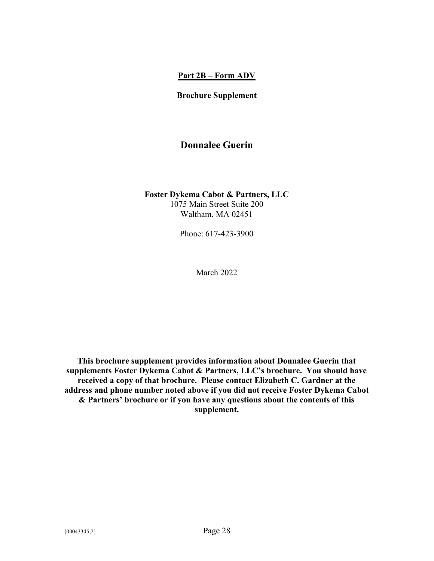#### Brochure Supplement

## Donnalee Guerin

#### Foster Dykema Cabot & Partners, LLC 1075 Main Street Suite 200 Waltham, MA 02451

Phone: 617-423-3900

March 2022

This brochure supplement provides information about Donnalee Guerin that supplements Foster Dykema Cabot & Partners, LLC's brochure. You should have received a copy of that brochure. Please contact Elizabeth C. Gardner at the address and phone number noted above if you did not receive Foster Dykema Cabot & Partners' brochure or if you have any questions about the contents of this supplement.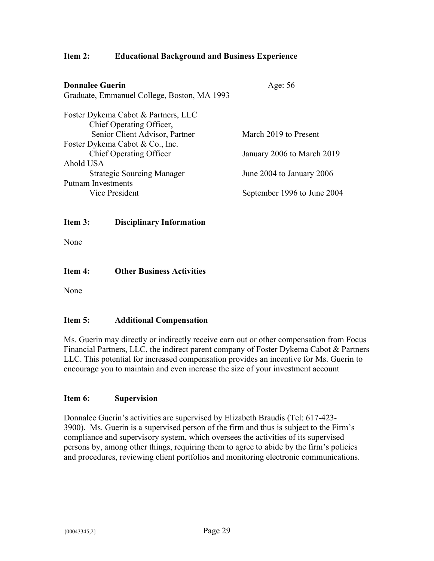| <b>Donnalee Guerin</b><br>Graduate, Emmanuel College, Boston, MA 1993 | Age: 56                     |
|-----------------------------------------------------------------------|-----------------------------|
| Foster Dykema Cabot & Partners, LLC                                   |                             |
| Chief Operating Officer,                                              |                             |
| Senior Client Advisor, Partner                                        | March 2019 to Present       |
| Foster Dykema Cabot & Co., Inc.                                       |                             |
| Chief Operating Officer                                               | January 2006 to March 2019  |
| Ahold USA                                                             |                             |
| <b>Strategic Sourcing Manager</b>                                     | June 2004 to January 2006   |
| <b>Putnam Investments</b>                                             |                             |
| Vice President                                                        | September 1996 to June 2004 |

#### Item 3: Disciplinary Information

None

Item 4: Other Business Activities

None

#### Item 5: Additional Compensation

Ms. Guerin may directly or indirectly receive earn out or other compensation from Focus Financial Partners, LLC, the indirect parent company of Foster Dykema Cabot & Partners LLC. This potential for increased compensation provides an incentive for Ms. Guerin to encourage you to maintain and even increase the size of your investment account

#### Item 6: Supervision

Donnalee Guerin's activities are supervised by Elizabeth Braudis (Tel: 617-423- 3900). Ms. Guerin is a supervised person of the firm and thus is subject to the Firm's compliance and supervisory system, which oversees the activities of its supervised persons by, among other things, requiring them to agree to abide by the firm's policies and procedures, reviewing client portfolios and monitoring electronic communications.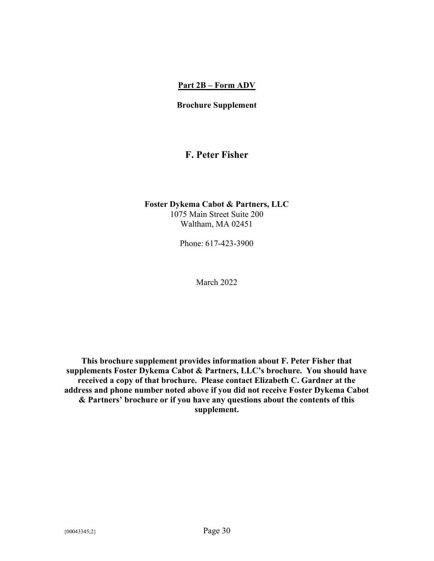#### Brochure Supplement

## F. Peter Fisher

### Foster Dykema Cabot & Partners, LLC 1075 Main Street Suite 200 Waltham, MA 02451

Phone: 617-423-3900

March 2022

This brochure supplement provides information about F. Peter Fisher that supplements Foster Dykema Cabot & Partners, LLC's brochure. You should have received a copy of that brochure. Please contact Elizabeth C. Gardner at the address and phone number noted above if you did not receive Foster Dykema Cabot & Partners' brochure or if you have any questions about the contents of this supplement.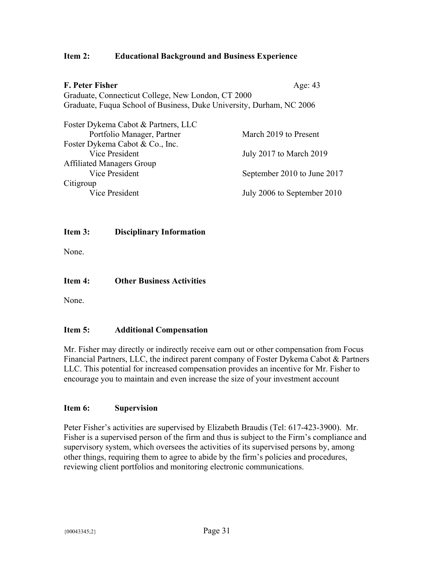| F. Peter Fisher                                                      | Age: 43 |
|----------------------------------------------------------------------|---------|
| Graduate, Connecticut College, New London, CT 2000                   |         |
| Graduate, Fuqua School of Business, Duke University, Durham, NC 2006 |         |

| Foster Dykema Cabot & Partners, LLC |                             |
|-------------------------------------|-----------------------------|
| Portfolio Manager, Partner          | March 2019 to Present       |
| Foster Dykema Cabot & Co., Inc.     |                             |
| Vice President                      | July 2017 to March 2019     |
| <b>Affiliated Managers Group</b>    |                             |
| Vice President                      | September 2010 to June 2017 |
| Citigroup                           |                             |
| Vice President                      | July 2006 to September 2010 |
|                                     |                             |

#### Item 3: Disciplinary Information

None.

Item 4: Other Business Activities

None.

#### Item 5: Additional Compensation

Mr. Fisher may directly or indirectly receive earn out or other compensation from Focus Financial Partners, LLC, the indirect parent company of Foster Dykema Cabot & Partners LLC. This potential for increased compensation provides an incentive for Mr. Fisher to encourage you to maintain and even increase the size of your investment account

#### Item 6: Supervision

Peter Fisher's activities are supervised by Elizabeth Braudis (Tel: 617-423-3900). Mr. Fisher is a supervised person of the firm and thus is subject to the Firm's compliance and supervisory system, which oversees the activities of its supervised persons by, among other things, requiring them to agree to abide by the firm's policies and procedures, reviewing client portfolios and monitoring electronic communications.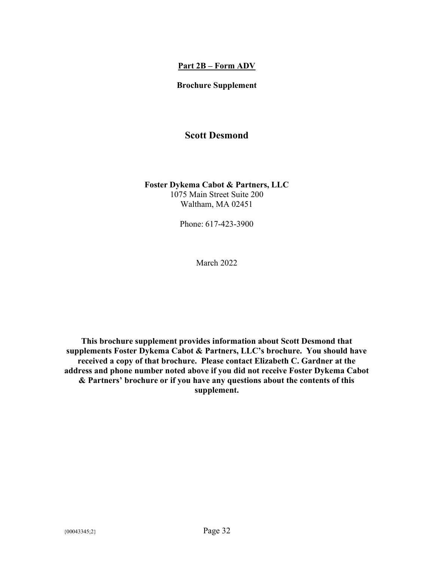#### Brochure Supplement

## Scott Desmond

# Foster Dykema Cabot & Partners, LLC

1075 Main Street Suite 200 Waltham, MA 02451

Phone: 617-423-3900

March 2022

This brochure supplement provides information about Scott Desmond that supplements Foster Dykema Cabot & Partners, LLC's brochure. You should have received a copy of that brochure. Please contact Elizabeth C. Gardner at the address and phone number noted above if you did not receive Foster Dykema Cabot & Partners' brochure or if you have any questions about the contents of this supplement.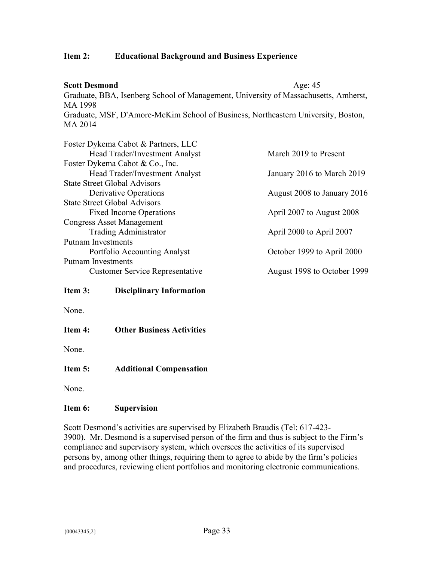Scott Desmond Age: 45 Graduate, BBA, Isenberg School of Management, University of Massachusetts, Amherst, MA 1998 Graduate, MSF, D'Amore-McKim School of Business, Northeastern University, Boston, MA 2014

| Foster Dykema Cabot & Partners, LLC    |                             |
|----------------------------------------|-----------------------------|
| Head Trader/Investment Analyst         | March 2019 to Present       |
| Foster Dykema Cabot & Co., Inc.        |                             |
| Head Trader/Investment Analyst         | January 2016 to March 2019  |
| <b>State Street Global Advisors</b>    |                             |
| Derivative Operations                  | August 2008 to January 2016 |
| <b>State Street Global Advisors</b>    |                             |
| <b>Fixed Income Operations</b>         | April 2007 to August 2008   |
| <b>Congress Asset Management</b>       |                             |
| Trading Administrator                  | April 2000 to April 2007    |
| <b>Putnam Investments</b>              |                             |
| Portfolio Accounting Analyst           | October 1999 to April 2000  |
| <b>Putnam Investments</b>              |                             |
| <b>Customer Service Representative</b> | August 1998 to October 1999 |

#### Item 3: Disciplinary Information

None.

Item 4: Other Business Activities

None.

#### Item 5: Additional Compensation

None.

#### Item 6: Supervision

Scott Desmond's activities are supervised by Elizabeth Braudis (Tel: 617-423- 3900). Mr. Desmond is a supervised person of the firm and thus is subject to the Firm's compliance and supervisory system, which oversees the activities of its supervised persons by, among other things, requiring them to agree to abide by the firm's policies and procedures, reviewing client portfolios and monitoring electronic communications.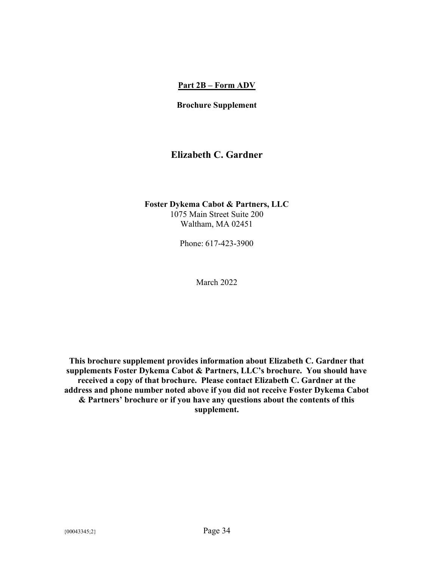#### Brochure Supplement

## Elizabeth C. Gardner

Foster Dykema Cabot & Partners, LLC 1075 Main Street Suite 200 Waltham, MA 02451

Phone: 617-423-3900

March 2022

This brochure supplement provides information about Elizabeth C. Gardner that supplements Foster Dykema Cabot & Partners, LLC's brochure. You should have received a copy of that brochure. Please contact Elizabeth C. Gardner at the address and phone number noted above if you did not receive Foster Dykema Cabot & Partners' brochure or if you have any questions about the contents of this supplement.